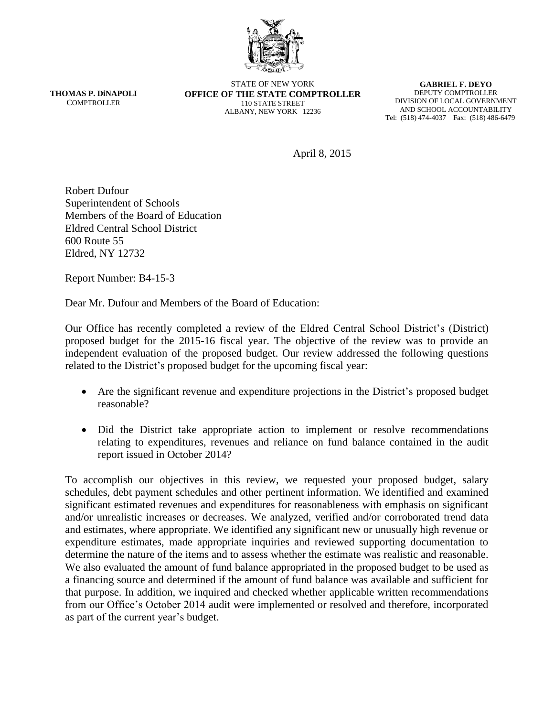

**THOMAS P. DiNAPOLI COMPTROLLER** 

STATE OF NEW YORK **OFFICE OF THE STATE COMPTROLLER** 110 STATE STREET ALBANY, NEW YORK 12236

**GABRIEL F. DEYO** DEPUTY COMPTROLLER DIVISION OF LOCAL GOVERNMENT AND SCHOOL ACCOUNTABILITY Tel: (518) 474-4037 Fax: (518) 486-6479

April 8, 2015

Robert Dufour Superintendent of Schools Members of the Board of Education Eldred Central School District 600 Route 55 Eldred, NY 12732

Report Number: B4-15-3

Dear Mr. Dufour and Members of the Board of Education:

Our Office has recently completed a review of the Eldred Central School District's (District) proposed budget for the 2015-16 fiscal year. The objective of the review was to provide an independent evaluation of the proposed budget. Our review addressed the following questions related to the District's proposed budget for the upcoming fiscal year:

- Are the significant revenue and expenditure projections in the District's proposed budget reasonable?
- Did the District take appropriate action to implement or resolve recommendations relating to expenditures, revenues and reliance on fund balance contained in the audit report issued in October 2014?

To accomplish our objectives in this review, we requested your proposed budget, salary schedules, debt payment schedules and other pertinent information. We identified and examined significant estimated revenues and expenditures for reasonableness with emphasis on significant and/or unrealistic increases or decreases. We analyzed, verified and/or corroborated trend data and estimates, where appropriate. We identified any significant new or unusually high revenue or expenditure estimates, made appropriate inquiries and reviewed supporting documentation to determine the nature of the items and to assess whether the estimate was realistic and reasonable. We also evaluated the amount of fund balance appropriated in the proposed budget to be used as a financing source and determined if the amount of fund balance was available and sufficient for that purpose. In addition, we inquired and checked whether applicable written recommendations from our Office's October 2014 audit were implemented or resolved and therefore, incorporated as part of the current year's budget.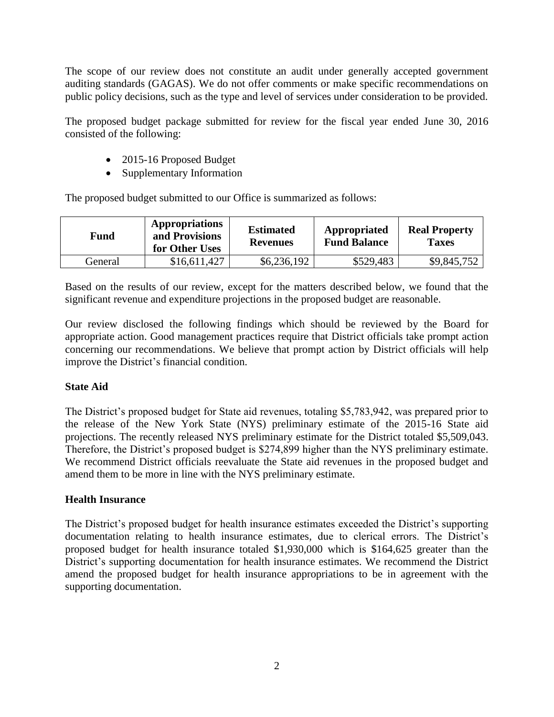The scope of our review does not constitute an audit under generally accepted government auditing standards (GAGAS). We do not offer comments or make specific recommendations on public policy decisions, such as the type and level of services under consideration to be provided.

The proposed budget package submitted for review for the fiscal year ended June 30, 2016 consisted of the following:

- 2015-16 Proposed Budget
- Supplementary Information

The proposed budget submitted to our Office is summarized as follows:

| Fund    | Appropriations<br>and Provisions<br>for Other Uses | <b>Estimated</b><br><b>Revenues</b> | Appropriated<br><b>Fund Balance</b> | <b>Real Property</b><br><b>Taxes</b> |
|---------|----------------------------------------------------|-------------------------------------|-------------------------------------|--------------------------------------|
| General | \$16,611,427                                       | \$6,236,192                         | \$529,483                           | \$9,845,752                          |

Based on the results of our review, except for the matters described below, we found that the significant revenue and expenditure projections in the proposed budget are reasonable.

Our review disclosed the following findings which should be reviewed by the Board for appropriate action. Good management practices require that District officials take prompt action concerning our recommendations. We believe that prompt action by District officials will help improve the District's financial condition.

## **State Aid**

The District's proposed budget for State aid revenues, totaling \$5,783,942, was prepared prior to the release of the New York State (NYS) preliminary estimate of the 2015-16 State aid projections. The recently released NYS preliminary estimate for the District totaled \$5,509,043. Therefore, the District's proposed budget is \$274,899 higher than the NYS preliminary estimate. We recommend District officials reevaluate the State aid revenues in the proposed budget and amend them to be more in line with the NYS preliminary estimate.

## **Health Insurance**

The District's proposed budget for health insurance estimates exceeded the District's supporting documentation relating to health insurance estimates, due to clerical errors. The District's proposed budget for health insurance totaled \$1,930,000 which is \$164,625 greater than the District's supporting documentation for health insurance estimates. We recommend the District amend the proposed budget for health insurance appropriations to be in agreement with the supporting documentation.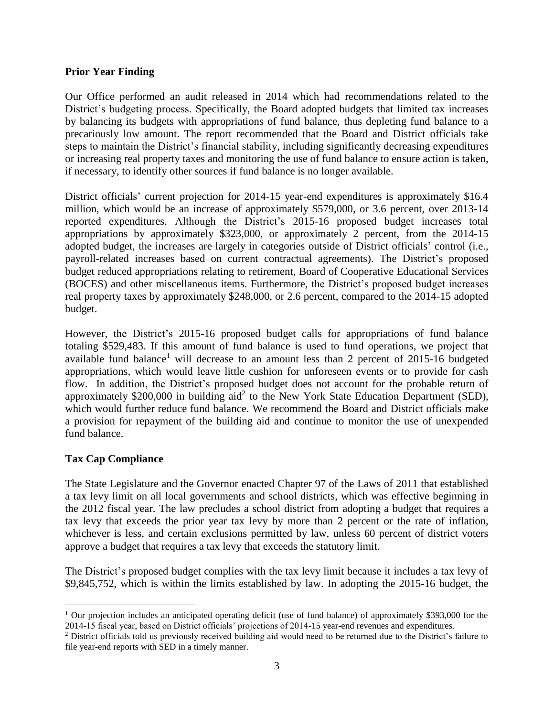## **Prior Year Finding**

Our Office performed an audit released in 2014 which had recommendations related to the District's budgeting process. Specifically, the Board adopted budgets that limited tax increases by balancing its budgets with appropriations of fund balance, thus depleting fund balance to a precariously low amount. The report recommended that the Board and District officials take steps to maintain the District's financial stability, including significantly decreasing expenditures or increasing real property taxes and monitoring the use of fund balance to ensure action is taken, if necessary, to identify other sources if fund balance is no longer available.

District officials' current projection for 2014-15 year-end expenditures is approximately \$16.4 million, which would be an increase of approximately \$579,000, or 3.6 percent, over 2013-14 reported expenditures. Although the District's 2015-16 proposed budget increases total appropriations by approximately \$323,000, or approximately 2 percent, from the 2014-15 adopted budget, the increases are largely in categories outside of District officials' control (i.e., payroll-related increases based on current contractual agreements). The District's proposed budget reduced appropriations relating to retirement, Board of Cooperative Educational Services (BOCES) and other miscellaneous items. Furthermore, the District's proposed budget increases real property taxes by approximately \$248,000, or 2.6 percent, compared to the 2014-15 adopted budget.

However, the District's 2015-16 proposed budget calls for appropriations of fund balance totaling \$529,483. If this amount of fund balance is used to fund operations, we project that available fund balance<sup>1</sup> will decrease to an amount less than 2 percent of  $2015-16$  budgeted appropriations, which would leave little cushion for unforeseen events or to provide for cash flow. In addition, the District's proposed budget does not account for the probable return of approximately \$200,000 in building  $aid^2$  to the New York State Education Department (SED), which would further reduce fund balance. We recommend the Board and District officials make a provision for repayment of the building aid and continue to monitor the use of unexpended fund balance.

## **Tax Cap Compliance**

 $\overline{a}$ 

The State Legislature and the Governor enacted Chapter 97 of the Laws of 2011 that established a tax levy limit on all local governments and school districts, which was effective beginning in the 2012 fiscal year. The law precludes a school district from adopting a budget that requires a tax levy that exceeds the prior year tax levy by more than 2 percent or the rate of inflation, whichever is less, and certain exclusions permitted by law, unless 60 percent of district voters approve a budget that requires a tax levy that exceeds the statutory limit.

The District's proposed budget complies with the tax levy limit because it includes a tax levy of \$9,845,752, which is within the limits established by law. In adopting the 2015-16 budget, the

<sup>&</sup>lt;sup>1</sup> Our projection includes an anticipated operating deficit (use of fund balance) of approximately \$393,000 for the 2014-15 fiscal year, based on District officials' projections of 2014-15 year-end revenues and expenditures.

<sup>&</sup>lt;sup>2</sup> District officials told us previously received building aid would need to be returned due to the District's failure to file year-end reports with SED in a timely manner.